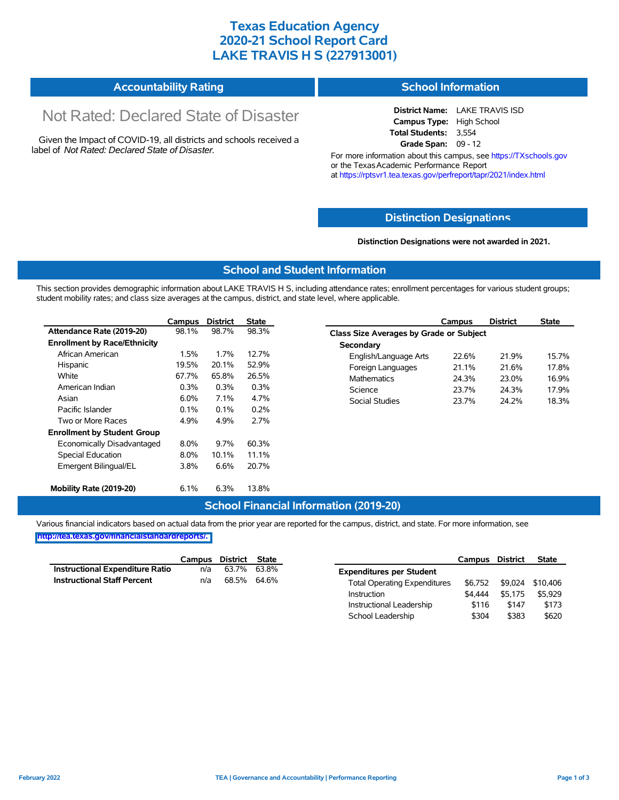### **Texas Education Agency 2020-21 School Report Card LAKE TRAVIS H S (227913001)**

| <b>Accountability Rating</b> | <b>School Information</b> |
|------------------------------|---------------------------|
|------------------------------|---------------------------|

# Not Rated: Declared State of Disaster

Given the Impact of COVID-19, all districts and schools received a label of *Not Rated: Declared State of Disaster.*

**District Name:** LAKE TRAVIS ISD **Campus Type:** High School **Total Students:** 3,554 **Grade Span:** 09 - 12

For more information about this campus, see https://TXschools.gov or the Texas Academic Performance Report at https://rptsvr1.tea.texas.gov/perfreport/tapr/2021/index.html

#### **Distinction Designat[ions](https://TXschools.gov)**

**Distinction Designations were not awarded in 2021.**

School Leadership  $$304$  \$383 \$620

#### **School and Student Information**

This section provides demographic information about LAKE TRAVIS H S, including attendance rates; enrollment percentages for various student groups; student mobility rates; and class size averages at the campus, district, and state level, where applicable.

|                                     | Campus  | <b>District</b> | <b>State</b> | <b>District</b><br>Campus                      | <b>State</b> |
|-------------------------------------|---------|-----------------|--------------|------------------------------------------------|--------------|
| Attendance Rate (2019-20)           | 98.1%   | 98.7%           | 98.3%        | <b>Class Size Averages by Grade or Subject</b> |              |
| <b>Enrollment by Race/Ethnicity</b> |         |                 |              | Secondary                                      |              |
| African American                    | 1.5%    | 1.7%            | 12.7%        | 21.9%<br>English/Language Arts<br>22.6%        | 15.7%        |
| Hispanic                            | 19.5%   | 20.1%           | 52.9%        | 21.6%<br>Foreign Languages<br>21.1%            | 17.8%        |
| White                               | 67.7%   | 65.8%           | 26.5%        | Mathematics<br>24.3%<br>23.0%                  | 16.9%        |
| American Indian                     | 0.3%    | 0.3%            | 0.3%         | 24.3%<br>Science<br>23.7%                      | 17.9%        |
| Asian                               | 6.0%    | 7.1%            | 4.7%         | Social Studies<br>24.2%<br>23.7%               | 18.3%        |
| Pacific Islander                    | 0.1%    | 0.1%            | 0.2%         |                                                |              |
| Two or More Races                   | 4.9%    | 4.9%            | 2.7%         |                                                |              |
| <b>Enrollment by Student Group</b>  |         |                 |              |                                                |              |
| Economically Disadvantaged          | $8.0\%$ | 9.7%            | 60.3%        |                                                |              |
| Special Education                   | $8.0\%$ | 10.1%           | 11.1%        |                                                |              |
| Emergent Bilingual/EL               | 3.8%    | 6.6%            | 20.7%        |                                                |              |
| Mobility Rate (2019-20)             | 6.1%    | 6.3%            | 13.8%        |                                                |              |

#### **School Financial Information (2019-20)**

Various financial indicators based on actual data from the prior year are reported for the campus, district, and state. For more information, see

**[http://tea.texas.gov/financialstandardreports/.](http://tea.texas.gov/financialstandardreports/)**

|                                    | Campus | District State |             |                                     | Campus  | <b>District</b> | <b>State</b>     |
|------------------------------------|--------|----------------|-------------|-------------------------------------|---------|-----------------|------------------|
| Instructional Expenditure Ratio    | n/a    |                | 63.7% 63.8% | <b>Expenditures per Student</b>     |         |                 |                  |
| <b>Instructional Staff Percent</b> | n/a    |                | 68.5% 64.6% | <b>Total Operating Expenditures</b> | \$6.752 |                 | \$9,024 \$10,406 |
|                                    |        |                |             | Instruction                         | \$4.444 | \$5.175         | \$5.929          |
|                                    |        |                |             | Instructional Leadership            | \$116   | \$147           | \$173            |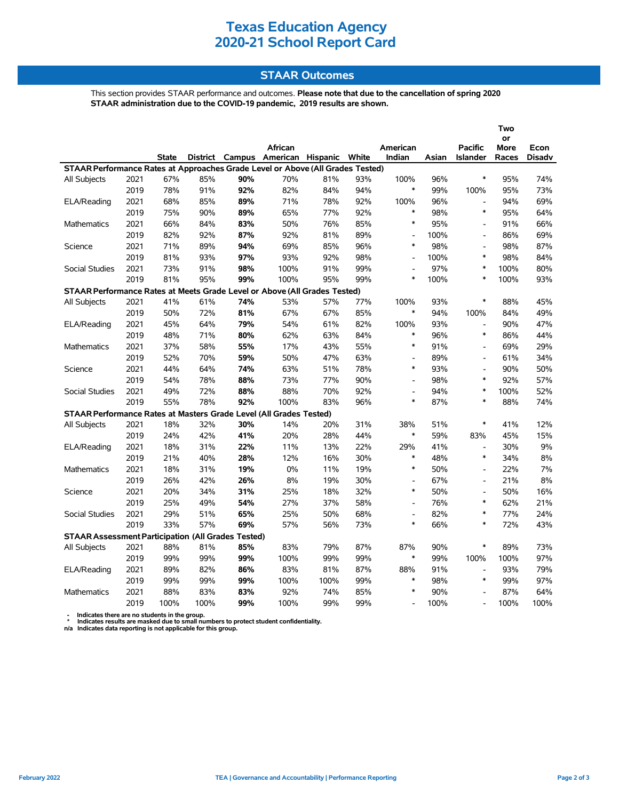## **Texas Education Agency 2020-21 School Report Card**

### **STAAR Outcomes**

This section provides STAAR performance and outcomes. **Please note that due to the cancellation of spring 2020 STAAR administration due to the COVID-19 pandemic, 2019 results are shown.**

|                                                                                |      |              |      |     |                                         |      |     |                          |       |                          | Two               |               |  |
|--------------------------------------------------------------------------------|------|--------------|------|-----|-----------------------------------------|------|-----|--------------------------|-------|--------------------------|-------------------|---------------|--|
|                                                                                |      |              |      |     | African                                 |      |     | American                 |       | <b>Pacific</b>           | or<br><b>More</b> | Econ          |  |
|                                                                                |      | <b>State</b> |      |     | District Campus American Hispanic White |      |     | Indian                   | Asian | <b>Islander</b>          | Races             | <b>Disadv</b> |  |
| STAAR Performance Rates at Approaches Grade Level or Above (All Grades Tested) |      |              |      |     |                                         |      |     |                          |       |                          |                   |               |  |
| All Subjects                                                                   | 2021 | 67%          | 85%  | 90% | 70%                                     | 81%  | 93% | 100%                     | 96%   | $\ast$                   | 95%               | 74%           |  |
|                                                                                | 2019 | 78%          | 91%  | 92% | 82%                                     | 84%  | 94% | $\ast$                   | 99%   | 100%                     | 95%               | 73%           |  |
| ELA/Reading                                                                    | 2021 | 68%          | 85%  | 89% | 71%                                     | 78%  | 92% | 100%                     | 96%   | $\overline{\phantom{a}}$ | 94%               | 69%           |  |
|                                                                                | 2019 | 75%          | 90%  | 89% | 65%                                     | 77%  | 92% | $\ast$                   | 98%   | $\ast$                   | 95%               | 64%           |  |
| Mathematics                                                                    | 2021 | 66%          | 84%  | 83% | 50%                                     | 76%  | 85% | $\ast$                   | 95%   | $\overline{a}$           | 91%               | 66%           |  |
|                                                                                | 2019 | 82%          | 92%  | 87% | 92%                                     | 81%  | 89% | $\overline{\phantom{a}}$ | 100%  | $\overline{\phantom{a}}$ | 86%               | 69%           |  |
| Science                                                                        | 2021 | 71%          | 89%  | 94% | 69%                                     | 85%  | 96% | $\ast$                   | 98%   | L,                       | 98%               | 87%           |  |
|                                                                                | 2019 | 81%          | 93%  | 97% | 93%                                     | 92%  | 98% | $\overline{\phantom{a}}$ | 100%  | $\ast$                   | 98%               | 84%           |  |
| <b>Social Studies</b>                                                          | 2021 | 73%          | 91%  | 98% | 100%                                    | 91%  | 99% | L,                       | 97%   | $\ast$                   | 100%              | 80%           |  |
|                                                                                | 2019 | 81%          | 95%  | 99% | 100%                                    | 95%  | 99% | *                        | 100%  | $\ast$                   | 100%              | 93%           |  |
| STAAR Performance Rates at Meets Grade Level or Above (All Grades Tested)      |      |              |      |     |                                         |      |     |                          |       |                          |                   |               |  |
| All Subjects                                                                   | 2021 | 41%          | 61%  | 74% | 53%                                     | 57%  | 77% | 100%                     | 93%   | $\ast$                   | 88%               | 45%           |  |
|                                                                                | 2019 | 50%          | 72%  | 81% | 67%                                     | 67%  | 85% | $\ast$                   | 94%   | 100%                     | 84%               | 49%           |  |
| ELA/Reading                                                                    | 2021 | 45%          | 64%  | 79% | 54%                                     | 61%  | 82% | 100%                     | 93%   | $\frac{1}{2}$            | 90%               | 47%           |  |
|                                                                                | 2019 | 48%          | 71%  | 80% | 62%                                     | 63%  | 84% | $\ast$                   | 96%   | $\ast$                   | 86%               | 44%           |  |
| <b>Mathematics</b>                                                             | 2021 | 37%          | 58%  | 55% | 17%                                     | 43%  | 55% | $\ast$                   | 91%   | $\blacksquare$           | 69%               | 29%           |  |
|                                                                                | 2019 | 52%          | 70%  | 59% | 50%                                     | 47%  | 63% | $\overline{a}$           | 89%   | $\overline{\phantom{a}}$ | 61%               | 34%           |  |
| Science                                                                        | 2021 | 44%          | 64%  | 74% | 63%                                     | 51%  | 78% | $\ast$                   | 93%   | $\overline{a}$           | 90%               | 50%           |  |
|                                                                                | 2019 | 54%          | 78%  | 88% | 73%                                     | 77%  | 90% | $\overline{a}$           | 98%   | $\ast$                   | 92%               | 57%           |  |
| <b>Social Studies</b>                                                          | 2021 | 49%          | 72%  | 88% | 88%                                     | 70%  | 92% | $\overline{\phantom{a}}$ | 94%   | $\ast$                   | 100%              | 52%           |  |
|                                                                                | 2019 | 55%          | 78%  | 92% | 100%                                    | 83%  | 96% | $\ast$                   | 87%   | $\ast$                   | 88%               | 74%           |  |
| STAAR Performance Rates at Masters Grade Level (All Grades Tested)             |      |              |      |     |                                         |      |     |                          |       |                          |                   |               |  |
| <b>All Subjects</b>                                                            | 2021 | 18%          | 32%  | 30% | 14%                                     | 20%  | 31% | 38%                      | 51%   | $\ast$                   | 41%               | 12%           |  |
|                                                                                | 2019 | 24%          | 42%  | 41% | 20%                                     | 28%  | 44% | $\ast$                   | 59%   | 83%                      | 45%               | 15%           |  |
| ELA/Reading                                                                    | 2021 | 18%          | 31%  | 22% | 11%                                     | 13%  | 22% | 29%                      | 41%   | L,                       | 30%               | 9%            |  |
|                                                                                | 2019 | 21%          | 40%  | 28% | 12%                                     | 16%  | 30% | $\ast$                   | 48%   | $\ast$                   | 34%               | 8%            |  |
| <b>Mathematics</b>                                                             | 2021 | 18%          | 31%  | 19% | 0%                                      | 11%  | 19% | $\ast$                   | 50%   | $\overline{\phantom{a}}$ | 22%               | 7%            |  |
|                                                                                | 2019 | 26%          | 42%  | 26% | 8%                                      | 19%  | 30% | $\overline{\phantom{a}}$ | 67%   | $\blacksquare$           | 21%               | 8%            |  |
| Science                                                                        | 2021 | 20%          | 34%  | 31% | 25%                                     | 18%  | 32% | $\ast$                   | 50%   | $\overline{\phantom{a}}$ | 50%               | 16%           |  |
|                                                                                | 2019 | 25%          | 49%  | 54% | 27%                                     | 37%  | 58% | $\overline{\phantom{a}}$ | 76%   | $\ast$                   | 62%               | 21%           |  |
| Social Studies                                                                 | 2021 | 29%          | 51%  | 65% | 25%                                     | 50%  | 68% | $\overline{a}$           | 82%   | $\ast$                   | 77%               | 24%           |  |
|                                                                                | 2019 | 33%          | 57%  | 69% | 57%                                     | 56%  | 73% | $\ast$                   | 66%   | $\ast$                   | 72%               | 43%           |  |
| <b>STAAR Assessment Participation (All Grades Tested)</b>                      |      |              |      |     |                                         |      |     |                          |       |                          |                   |               |  |
| All Subjects                                                                   | 2021 | 88%          | 81%  | 85% | 83%                                     | 79%  | 87% | 87%                      | 90%   | $\ast$                   | 89%               | 73%           |  |
|                                                                                | 2019 | 99%          | 99%  | 99% | 100%                                    | 99%  | 99% | $\ast$                   | 99%   | 100%                     | 100%              | 97%           |  |
| ELA/Reading                                                                    | 2021 | 89%          | 82%  | 86% | 83%                                     | 81%  | 87% | 88%                      | 91%   | $\overline{\phantom{a}}$ | 93%               | 79%           |  |
|                                                                                | 2019 | 99%          | 99%  | 99% | 100%                                    | 100% | 99% | $\ast$                   | 98%   | $\ast$                   | 99%               | 97%           |  |
| <b>Mathematics</b>                                                             | 2021 | 88%          | 83%  | 83% | 92%                                     | 74%  | 85% | $\ast$                   | 90%   |                          | 87%               | 64%           |  |
|                                                                                | 2019 | 100%         | 100% | 99% | 100%                                    | 99%  | 99% | $\overline{\phantom{a}}$ | 100%  | $\overline{a}$           | 100%              | 100%          |  |

 **- Indicates there are no students in the group. \* Indicates results are masked due to small numbers to protect student confidentiality.**

**n/a Indicates data reporting is not applicable for this group.**